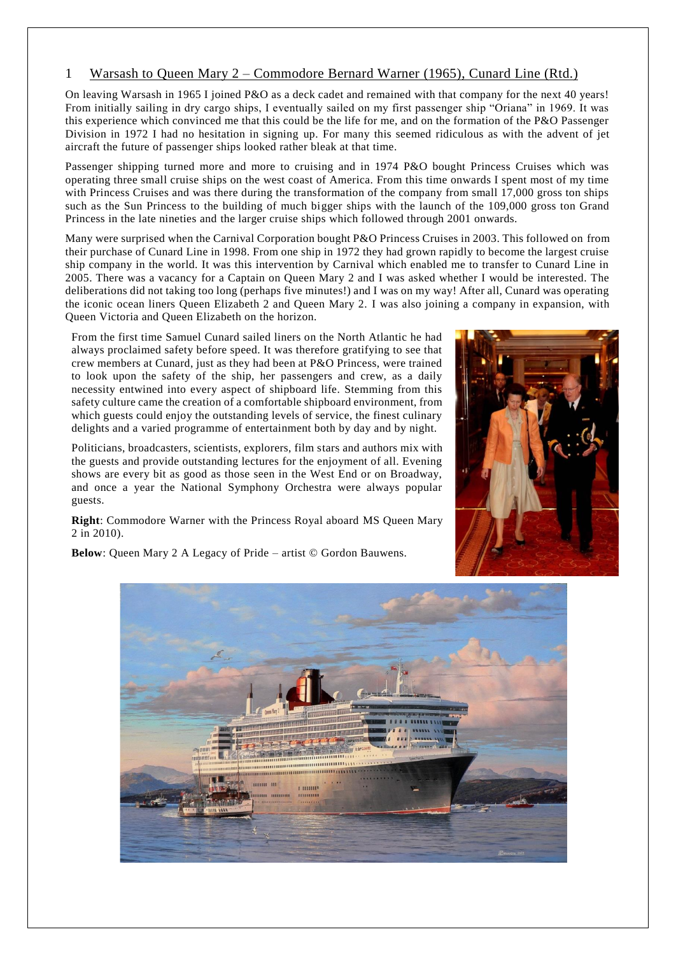## 1 Warsash to Queen Mary 2 – Commodore Bernard Warner (1965), Cunard Line (Rtd.)

On leaving Warsash in 1965 I joined P&O as a deck cadet and remained with that company for the next 40 years! From initially sailing in dry cargo ships, I eventually sailed on my first passenger ship "Oriana" in 1969. It was this experience which convinced me that this could be the life for me, and on the formation of the P&O Passenger Division in 1972 I had no hesitation in signing up. For many this seemed ridiculous as with the advent of jet aircraft the future of passenger ships looked rather bleak at that time.

Passenger shipping turned more and more to cruising and in 1974 P&O bought Princess Cruises which was operating three small cruise ships on the west coast of America. From this time onwards I spent most of my time with Princess Cruises and was there during the transformation of the company from small 17,000 gross ton ships such as the Sun Princess to the building of much bigger ships with the launch of the 109,000 gross ton Grand Princess in the late nineties and the larger cruise ships which followed through 2001 onwards.

Many were surprised when the Carnival Corporation bought P&O Princess Cruises in 2003. This followed on from their purchase of Cunard Line in 1998. From one ship in 1972 they had grown rapidly to become the largest cruise ship company in the world. It was this intervention by Carnival which enabled me to transfer to Cunard Line in 2005. There was a vacancy for a Captain on Queen Mary 2 and I was asked whether I would be interested. The deliberations did not taking too long (perhaps five minutes!) and I was on my way! After all, Cunard was operating the iconic ocean liners Queen Elizabeth 2 and Queen Mary 2. I was also joining a company in expansion, with Queen Victoria and Queen Elizabeth on the horizon.

From the first time Samuel Cunard sailed liners on the North Atlantic he had always proclaimed safety before speed. It was therefore gratifying to see that crew members at Cunard, just as they had been at P&O Princess, were trained to look upon the safety of the ship, her passengers and crew, as a daily necessity entwined into every aspect of shipboard life. Stemming from this safety culture came the creation of a comfortable shipboard environment, from which guests could enjoy the outstanding levels of service, the finest culinary delights and a varied programme of entertainment both by day and by night.

Politicians, broadcasters, scientists, explorers, film stars and authors mix with the guests and provide outstanding lectures for the enjoyment of all. Evening shows are every bit as good as those seen in the West End or on Broadway, and once a year the National Symphony Orchestra were always popular guests.

**Right**: Commodore Warner with the Princess Royal aboard MS Queen Mary 2 in 2010).

**Below:** Queen Mary 2 A Legacy of Pride – artist © Gordon Bauwens.



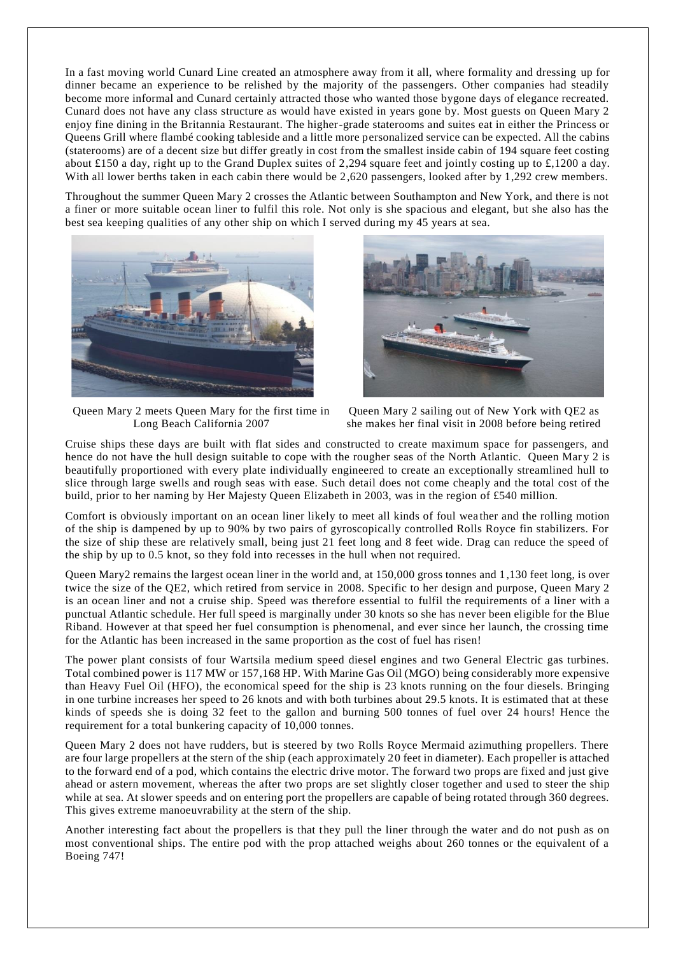In a fast moving world Cunard Line created an atmosphere away from it all, where formality and dressing up for dinner became an experience to be relished by the majority of the passengers. Other companies had steadily become more informal and Cunard certainly attracted those who wanted those bygone days of elegance recreated. Cunard does not have any class structure as would have existed in years gone by. Most guests on Queen Mary 2 enjoy fine dining in the Britannia Restaurant. The higher-grade staterooms and suites eat in either the Princess or Queens Grill where flambé cooking tableside and a little more personalized service can be expected. All the cabins (staterooms) are of a decent size but differ greatly in cost from the smallest inside cabin of 194 square feet costing about £150 a day, right up to the Grand Duplex suites of 2,294 square feet and jointly costing up to £,1200 a day. With all lower berths taken in each cabin there would be 2,620 passengers, looked after by 1,292 crew members.

Throughout the summer Queen Mary 2 crosses the Atlantic between Southampton and New York, and there is not a finer or more suitable ocean liner to fulfil this role. Not only is she spacious and elegant, but she also has the best sea keeping qualities of any other ship on which I served during my 45 years at sea.



Queen Mary 2 meets Queen Mary for the first time in Long Beach California 2007



Queen Mary 2 sailing out of New York with QE2 as she makes her final visit in 2008 before being retired

Cruise ships these days are built with flat sides and constructed to create maximum space for passengers, and hence do not have the hull design suitable to cope with the rougher seas of the North Atlantic. Queen Mary 2 is beautifully proportioned with every plate individually engineered to create an exceptionally streamlined hull to slice through large swells and rough seas with ease. Such detail does not come cheaply and the total cost of the build, prior to her naming by Her Majesty Queen Elizabeth in 2003, was in the region of £540 million.

Comfort is obviously important on an ocean liner likely to meet all kinds of foul wea ther and the rolling motion of the ship is dampened by up to 90% by two pairs of gyroscopically controlled Rolls Royce fin stabilizers. For the size of ship these are relatively small, being just 21 feet long and 8 feet wide. Drag can reduce the speed of the ship by up to 0.5 knot, so they fold into recesses in the hull when not required.

Queen Mary2 remains the largest ocean liner in the world and, at 150,000 gross tonnes and 1,130 feet long, is over twice the size of the QE2, which retired from service in 2008. Specific to her design and purpose, Queen Mary 2 is an ocean liner and not a cruise ship. Speed was therefore essential to fulfil the requirements of a liner with a punctual Atlantic schedule. Her full speed is marginally under 30 knots so she has never been eligible for the Blue Riband. However at that speed her fuel consumption is phenomenal, and ever since her launch, the crossing time for the Atlantic has been increased in the same proportion as the cost of fuel has risen!

The power plant consists of four Wartsila medium speed diesel engines and two General Electric gas turbines. Total combined power is 117 MW or 157,168 HP. With Marine Gas Oil (MGO) being considerably more expensive than Heavy Fuel Oil (HFO), the economical speed for the ship is 23 knots running on the four diesels. Bringing in one turbine increases her speed to 26 knots and with both turbines about 29.5 knots. It is estimated that at these kinds of speeds she is doing 32 feet to the gallon and burning 500 tonnes of fuel over 24 hours! Hence the requirement for a total bunkering capacity of 10,000 tonnes.

Queen Mary 2 does not have rudders, but is steered by two Rolls Royce Mermaid azimuthing propellers. There are four large propellers at the stern of the ship (each approximately 20 feet in diameter). Each propeller is attached to the forward end of a pod, which contains the electric drive motor. The forward two props are fixed and just give ahead or astern movement, whereas the after two props are set slightly closer together and u sed to steer the ship while at sea. At slower speeds and on entering port the propellers are capable of being rotated through 360 degrees. This gives extreme manoeuvrability at the stern of the ship.

Another interesting fact about the propellers is that they pull the liner through the water and do not push as on most conventional ships. The entire pod with the prop attached weighs about 260 tonnes or the equivalent of a Boeing 747!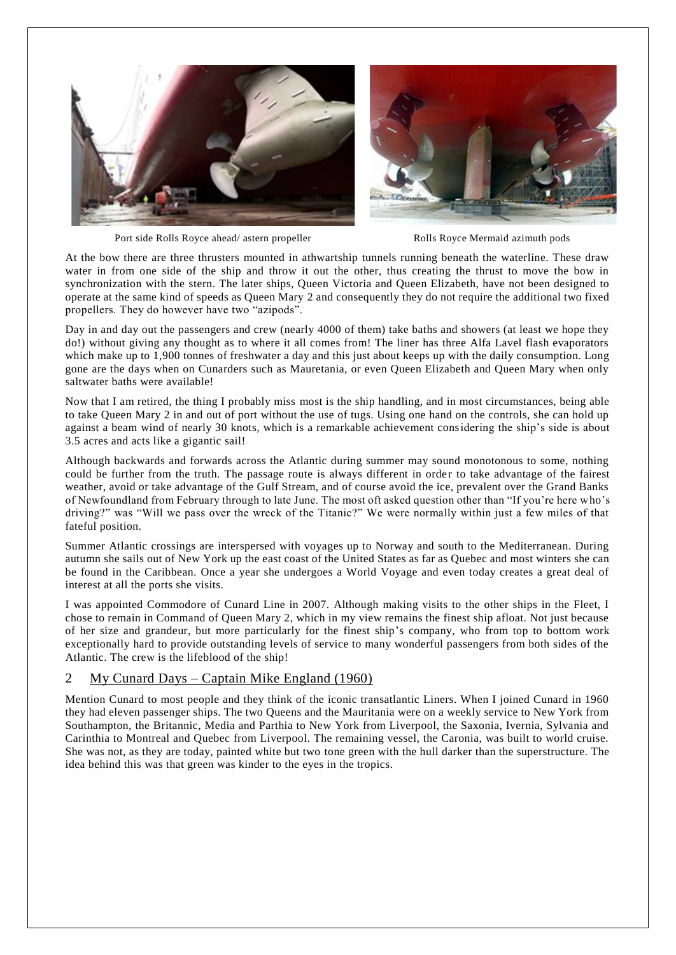

Port side Rolls Royce ahead/ astern propeller Rolls Royce Mermaid azimuth pods

At the bow there are three thrusters mounted in athwartship tunnels running beneath the waterline. These draw water in from one side of the ship and throw it out the other, thus creating the thrust to move the bow in synchronization with the stern. The later ships, Queen Victoria and Queen Elizabeth, have not been designed to operate at the same kind of speeds as Queen Mary 2 and consequently they do not require the additional two fixed propellers. They do however have two "azipods".

Day in and day out the passengers and crew (nearly 4000 of them) take baths and showers (at least we hope they do!) without giving any thought as to where it all comes from! The liner has three Alfa Lavel flash evaporators which make up to 1,900 tonnes of freshwater a day and this just about keeps up with the daily consumption. Long gone are the days when on Cunarders such as Mauretania, or even Queen Elizabeth and Queen Mary when only saltwater baths were available!

Now that I am retired, the thing I probably miss most is the ship handling, and in most circumstances, being able to take Queen Mary 2 in and out of port without the use of tugs. Using one hand on the controls, she can hold up against a beam wind of nearly 30 knots, which is a remarkable achievement considering the ship's side is about 3.5 acres and acts like a gigantic sail!

Although backwards and forwards across the Atlantic during summer may sound monotonous to some, nothing could be further from the truth. The passage route is always different in order to take advantage of the fairest weather, avoid or take advantage of the Gulf Stream, and of course avoid the ice, prevalent over the Grand Banks of Newfoundland from February through to late June. The most oft asked question other than "If you're here who's driving?" was "Will we pass over the wreck of the Titanic?" We were normally within just a few miles of that fateful position.

Summer Atlantic crossings are interspersed with voyages up to Norway and south to the Mediterranean. During autumn she sails out of New York up the east coast of the United States as far as Quebec and most winters she can be found in the Caribbean. Once a year she undergoes a World Voyage and even today creates a great deal of interest at all the ports she visits.

I was appointed Commodore of Cunard Line in 2007. Although making visits to the other ships in the Fleet, I chose to remain in Command of Queen Mary 2, which in my view remains the finest ship afloat. Not just because of her size and grandeur, but more particularly for the finest ship's company, who from top to bottom work exceptionally hard to provide outstanding levels of service to many wonderful passengers from both sides of the Atlantic. The crew is the lifeblood of the ship!

## 2 My Cunard Days – Captain Mike England (1960)

Mention Cunard to most people and they think of the iconic transatlantic Liners. When I joined Cunard in 1960 they had eleven passenger ships. The two Queens and the Mauritania were on a weekly service to New York from Southampton, the Britannic, Media and Parthia to New York from Liverpool, the Saxonia, Ivernia, Sylvania and Carinthia to Montreal and Quebec from Liverpool. The remaining vessel, the Caronia, was built to world cruise. She was not, as they are today, painted white but two tone green with the hull darker than the superstructure. The idea behind this was that green was kinder to the eyes in the tropics.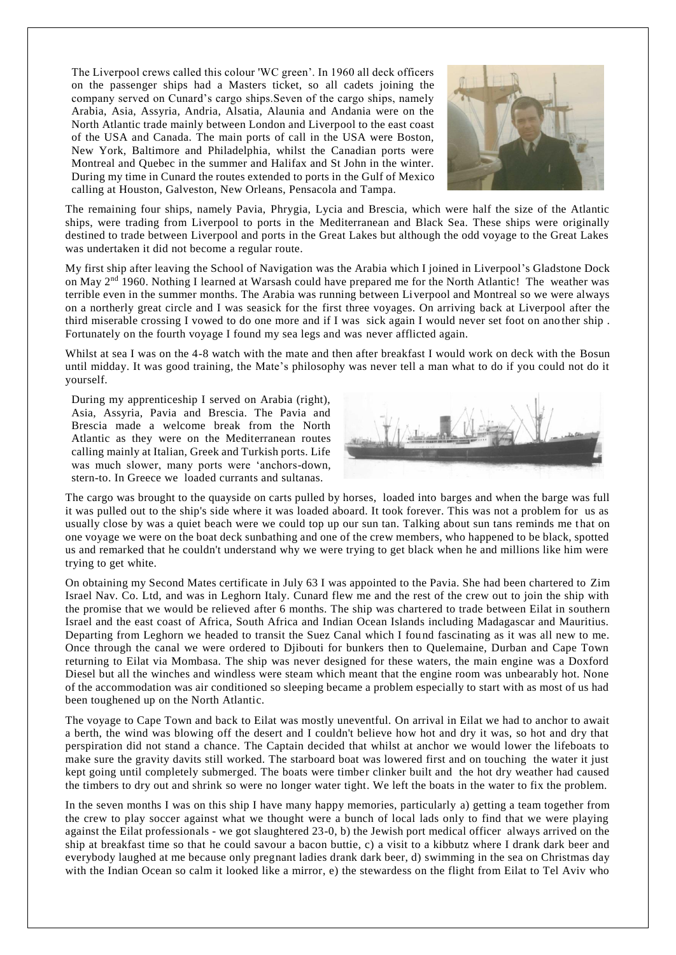The Liverpool crews called this colour 'WC green'. In 1960 all deck officers on the passenger ships had a Masters ticket, so all cadets joining the company served on Cunard's cargo ships.Seven of the cargo ships, namely Arabia, Asia, Assyria, Andria, Alsatia, Alaunia and Andania were on the North Atlantic trade mainly between London and Liverpool to the east coast of the USA and Canada. The main ports of call in the USA were Boston, New York, Baltimore and Philadelphia, whilst the Canadian ports were Montreal and Quebec in the summer and Halifax and St John in the winter. During my time in Cunard the routes extended to ports in the Gulf of Mexico calling at Houston, Galveston, New Orleans, Pensacola and Tampa.



The remaining four ships, namely Pavia, Phrygia, Lycia and Brescia, which were half the size of the Atlantic ships, were trading from Liverpool to ports in the Mediterranean and Black Sea. These ships were originally destined to trade between Liverpool and ports in the Great Lakes but although the odd voyage to the Great Lakes was undertaken it did not become a regular route.

My first ship after leaving the School of Navigation was the Arabia which I joined in Liverpool's Gladstone Dock on May 2<sup>nd</sup> 1960. Nothing I learned at Warsash could have prepared me for the North Atlantic! The weather was terrible even in the summer months. The Arabia was running between Liverpool and Montreal so we were always on a northerly great circle and I was seasick for the first three voyages. On arriving back at Liverpool after the third miserable crossing I vowed to do one more and if I was sick again I would never set foot on ano ther ship . Fortunately on the fourth voyage I found my sea legs and was never afflicted again.

Whilst at sea I was on the 4-8 watch with the mate and then after breakfast I would work on deck with the Bosun until midday. It was good training, the Mate's philosophy was never tell a man what to do if you could not do it yourself.

During my apprenticeship I served on Arabia (right), Asia, Assyria, Pavia and Brescia. The Pavia and Brescia made a welcome break from the North Atlantic as they were on the Mediterranean routes calling mainly at Italian, Greek and Turkish ports. Life was much slower, many ports were 'anchors-down, stern-to. In Greece we loaded currants and sultanas.



The cargo was brought to the quayside on carts pulled by horses, loaded into barges and when the barge was full it was pulled out to the ship's side where it was loaded aboard. It took forever. This was not a problem for us as usually close by was a quiet beach were we could top up our sun tan. Talking about sun tans reminds me t hat on one voyage we were on the boat deck sunbathing and one of the crew members, who happened to be black, spotted us and remarked that he couldn't understand why we were trying to get black when he and millions like him were trying to get white.

On obtaining my Second Mates certificate in July 63 I was appointed to the Pavia. She had been chartered to Zim Israel Nav. Co. Ltd, and was in Leghorn Italy. Cunard flew me and the rest of the crew out to join the ship with the promise that we would be relieved after 6 months. The ship was chartered to trade between Eilat in southern Israel and the east coast of Africa, South Africa and Indian Ocean Islands including Madagascar and Mauritius. Departing from Leghorn we headed to transit the Suez Canal which I found fascinating as it was all new to me. Once through the canal we were ordered to Djibouti for bunkers then to Quelemaine, Durban and Cape Town returning to Eilat via Mombasa. The ship was never designed for these waters, the main engine was a Doxford Diesel but all the winches and windless were steam which meant that the engine room was unbearably hot. None of the accommodation was air conditioned so sleeping became a problem especially to start with as most of us had been toughened up on the North Atlantic.

The voyage to Cape Town and back to Eilat was mostly uneventful. On arrival in Eilat we had to anchor to await a berth, the wind was blowing off the desert and I couldn't believe how hot and dry it was, so hot and dry that perspiration did not stand a chance. The Captain decided that whilst at anchor we would lower the lifeboats to make sure the gravity davits still worked. The starboard boat was lowered first and on touching the water it just kept going until completely submerged. The boats were timber clinker built and the hot dry weather had caused the timbers to dry out and shrink so were no longer water tight. We left the boats in the water to fix the problem.

In the seven months I was on this ship I have many happy memories, particularly a) getting a team together from the crew to play soccer against what we thought were a bunch of local lads only to find that we were playing against the Eilat professionals - we got slaughtered 23-0, b) the Jewish port medical officer always arrived on the ship at breakfast time so that he could savour a bacon buttie, c) a visit to a kibbutz where I drank dark beer and everybody laughed at me because only pregnant ladies drank dark beer, d) swimming in the sea on Christmas day with the Indian Ocean so calm it looked like a mirror, e) the stewardess on the flight from Eilat to Tel Aviv who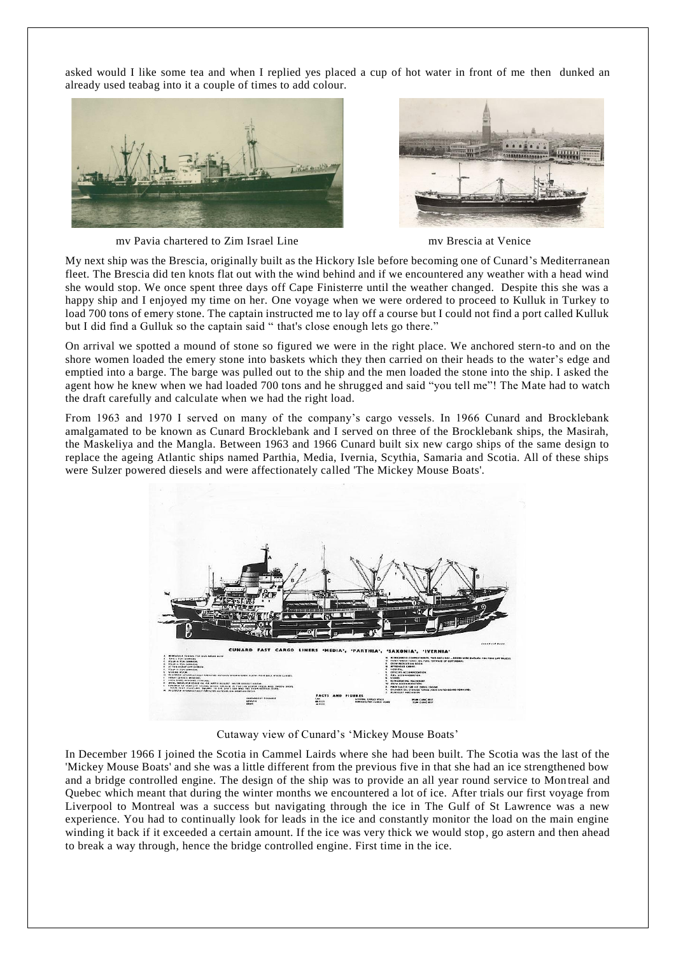asked would I like some tea and when I replied yes placed a cup of hot water in front of me then dunked an already used teabag into it a couple of times to add colour.





mv Pavia chartered to Zim Israel Line mv Brescia at Venice

My next ship was the Brescia, originally built as the Hickory Isle before becoming one of Cunard's Mediterranean fleet. The Brescia did ten knots flat out with the wind behind and if we encountered any weather with a head wind she would stop. We once spent three days off Cape Finisterre until the weather changed. Despite this she was a happy ship and I enjoyed my time on her. One voyage when we were ordered to proceed to Kulluk in Turkey to load 700 tons of emery stone. The captain instructed me to lay off a course but I could not find a port called Kulluk but I did find a Gulluk so the captain said " that's close enough lets go there."

On arrival we spotted a mound of stone so figured we were in the right place. We anchored stern-to and on the shore women loaded the emery stone into baskets which they then carried on their heads to the water's edge and emptied into a barge. The barge was pulled out to the ship and the men loaded the stone into the ship. I asked the agent how he knew when we had loaded 700 tons and he shrugged and said "you tell me"! The Mate had to watch the draft carefully and calculate when we had the right load.

From 1963 and 1970 I served on many of the company's cargo vessels. In 1966 Cunard and Brocklebank amalgamated to be known as Cunard Brocklebank and I served on three of the Brocklebank ships, the Masirah, the Maskeliya and the Mangla. Between 1963 and 1966 Cunard built six new cargo ships of the same design to replace the ageing Atlantic ships named Parthia, Media, Ivernia, Scythia, Samaria and Scotia. All of these ships were Sulzer powered diesels and were affectionately called 'The Mickey Mouse Boats'.



Cutaway view of Cunard's 'Mickey Mouse Boats'

In December 1966 I joined the Scotia in Cammel Lairds where she had been built. The Scotia was the last of the 'Mickey Mouse Boats' and she was a little different from the previous five in that she had an ice strengthened bow and a bridge controlled engine. The design of the ship was to provide an all year round service to Mon treal and Quebec which meant that during the winter months we encountered a lot of ice. After trials our first voyage from Liverpool to Montreal was a success but navigating through the ice in The Gulf of St Lawrence was a new experience. You had to continually look for leads in the ice and constantly monitor the load on the main engine winding it back if it exceeded a certain amount. If the ice was very thick we would stop, go astern and then ahead to break a way through, hence the bridge controlled engine. First time in the ice.